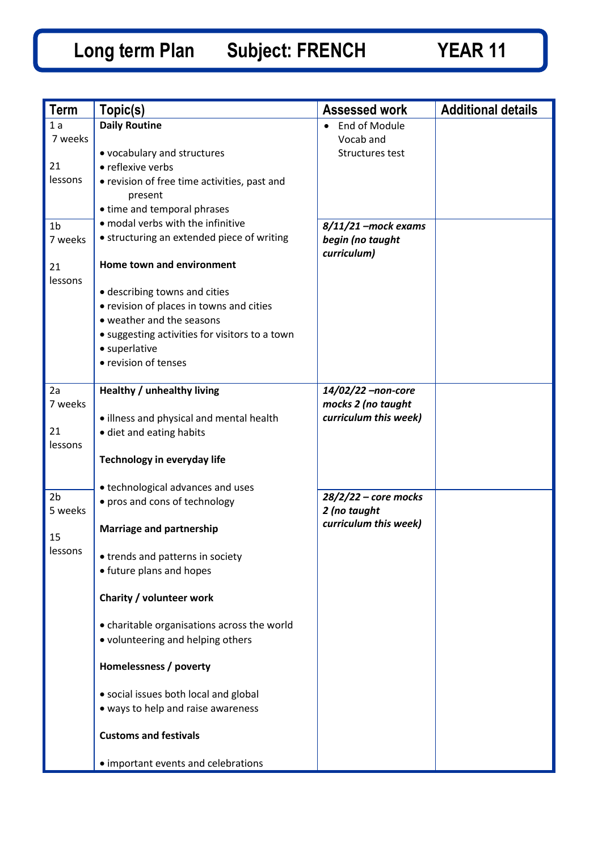| <b>Term</b>    | Topic(s)                                       | <b>Assessed work</b>       | <b>Additional details</b> |
|----------------|------------------------------------------------|----------------------------|---------------------------|
| 1a             | <b>Daily Routine</b>                           | End of Module<br>$\bullet$ |                           |
| 7 weeks        |                                                | Vocab and                  |                           |
|                | • vocabulary and structures                    | Structures test            |                           |
| 21             | • reflexive verbs                              |                            |                           |
| lessons        | • revision of free time activities, past and   |                            |                           |
|                | present                                        |                            |                           |
|                | • time and temporal phrases                    |                            |                           |
| 1 <sub>b</sub> | • modal verbs with the infinitive              | $8/11/21$ -mock exams      |                           |
| 7 weeks        | • structuring an extended piece of writing     | begin (no taught           |                           |
|                |                                                | curriculum)                |                           |
| 21             | Home town and environment                      |                            |                           |
| lessons        |                                                |                            |                           |
|                | • describing towns and cities                  |                            |                           |
|                | • revision of places in towns and cities       |                            |                           |
|                | • weather and the seasons                      |                            |                           |
|                | • suggesting activities for visitors to a town |                            |                           |
|                | • superlative                                  |                            |                           |
|                | • revision of tenses                           |                            |                           |
| 2a             | Healthy / unhealthy living                     | 14/02/22 -non-core         |                           |
| 7 weeks        |                                                | mocks 2 (no taught         |                           |
|                | • illness and physical and mental health       | curriculum this week)      |                           |
| 21             | • diet and eating habits                       |                            |                           |
| lessons        |                                                |                            |                           |
|                | <b>Technology in everyday life</b>             |                            |                           |
|                |                                                |                            |                           |
|                | • technological advances and uses              |                            |                           |
| 2 <sub>b</sub> | • pros and cons of technology                  | $28/2/22$ – core mocks     |                           |
| 5 weeks        |                                                | 2 (no taught               |                           |
| 15             | <b>Marriage and partnership</b>                | curriculum this week)      |                           |
| lessons        |                                                |                            |                           |
|                | • trends and patterns in society               |                            |                           |
|                | • future plans and hopes                       |                            |                           |
|                |                                                |                            |                           |
|                | Charity / volunteer work                       |                            |                           |
|                | • charitable organisations across the world    |                            |                           |
|                | • volunteering and helping others              |                            |                           |
|                |                                                |                            |                           |
|                | Homelessness / poverty                         |                            |                           |
|                |                                                |                            |                           |
|                | • social issues both local and global          |                            |                           |
|                | • ways to help and raise awareness             |                            |                           |
|                |                                                |                            |                           |
|                | <b>Customs and festivals</b>                   |                            |                           |
|                |                                                |                            |                           |
|                | • important events and celebrations            |                            |                           |